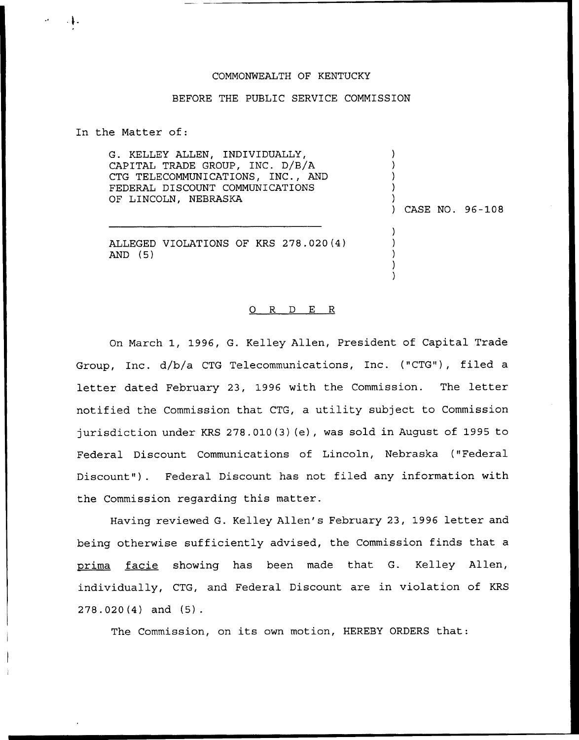## COMMONWEALTH OF KENTUCKY

## BEFORE THE PUBLIC SERVICE COMMISSION

In the Matter of:

G. KELLEY ALLEN, INDIVIDUALLY, CAPITAL TRADE GROUP, INC. D/B/A CTG TELECOMMUNICATIONS, INC., AND FEDERAL DISCOUNT COMMUNICATIONS OF LINCOLN, NEBRASKA

) CASE NO. 96-108

)  $\overline{\phantom{a}}$ ) ) )

ALLEGED VIOLATIONS OF KRS 278.020(4) AND (5)

## 0 R <sup>D</sup> E <sup>R</sup>

On March 1, 1996, G. Kelley Allen, President of Capital Trade Group, Inc. d/b/a CTG Telecommunications, Inc. ("CTG"), filed a letter dated February 23, 1996 with the Commission. The letter notified the Commission that CTG, a utility subject to Commission jurisdiction under KRS 278.010 (3) (e), was sold in August of 1995 to Federal Discount Communications of Lincoln, Nebraska ("Federal Discount"). Federal Discount has not filed any information with the Commission regarding this matter.

Having reviewed G. Kelley Allen's February 23, 1996 letter and being otherwise sufficiently advised, the Commission finds that a prima facie showing has been made that G. Kelley Allen, individually, CTG, and Federal Discount are in violation of KRS 278.020(4) and (5).

The Commission, on its own motion, HEREBY ORDERS that: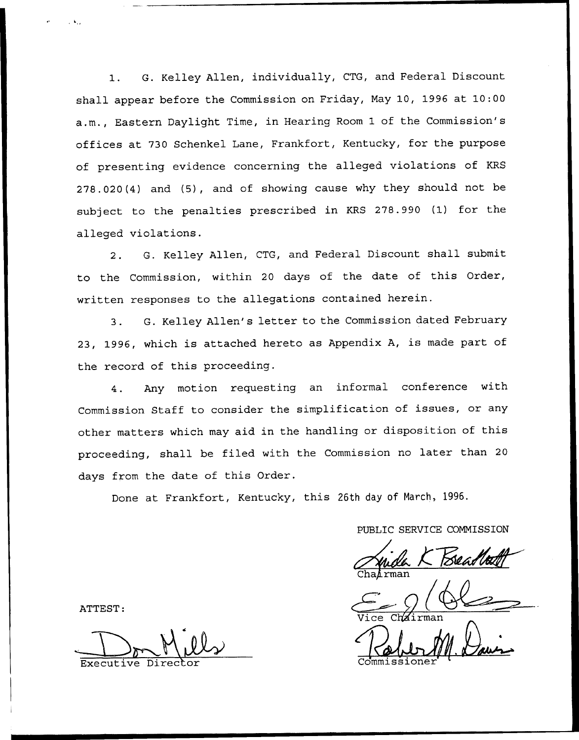1. G. Kelley Allen, individually, CTG, and Federal Discount shall appear before the Commission on Friday, Nay 10, 1996 at 10:00 a.m., Eastern Daylight Time, in Hearing Room 1 of the Commission's offices at 730 Schenkel Lane, Frankfort, Kentucky, for the purpose of presenting evidence concerning the alleged violations of KRS 278.020(4) and (5), and of showing cause why they should not be subject to the penalties prescribed in KRS 278.990 (1) for the alleged violations.

2. G. Kelley Allen, CTG, and Federal Discount shall submit to the Commission, within <sup>20</sup> days of the date of this Order, written responses to the allegations contained herein.

3. G. Kelley Allen's letter to the Commission dated February 23, 1996, which is attached hereto as Appendix A, is made part of the record of this proceeding.

4. Any motion requesting an informal conference with Commission Staff to consider the simplification of issues, or any other matters which may aid in the handling or disposition of this proceeding, shall be filed with the Commission no later than <sup>20</sup> days from the date of this Order.

Done at Frankfort, Kentucky, this 26th day of March, 1996.

PUBLIC SERVICE COMMISSION

Cha*ir*ma

ATTEST:

 $Milk$ Executive Director Commissione